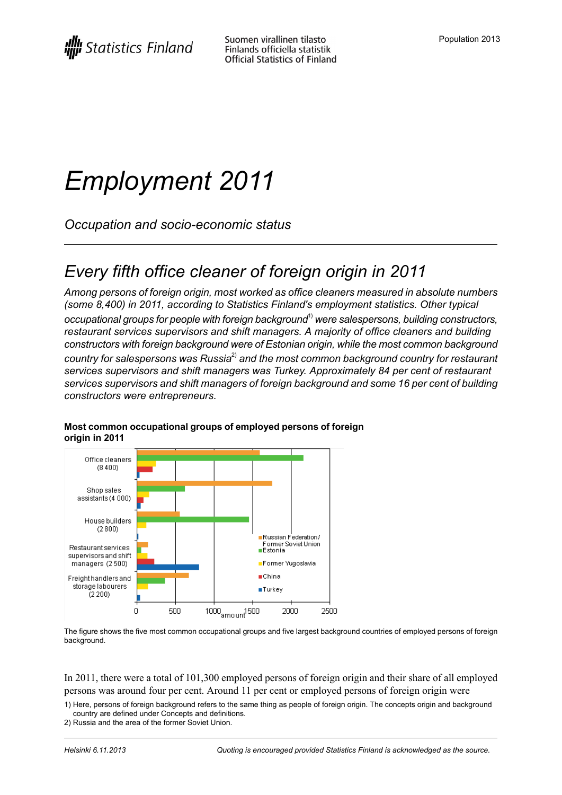# *Employment 2011*

*Occupation and socio-economic status*

### *Every fifth office cleaner of foreign origin in 2011*

*Among persons of foreign origin, most worked as office cleaners measured in absolute numbers (some 8,400) in 2011, according to Statistics Finland's employment statistics. Other typical occupational groups for people with foreign background*1) *were salespersons, building constructors, restaurant services supervisors and shift managers. A majority of office cleaners and building constructors with foreign background were of Estonian origin, while the most common background country for salespersons was Russia*2) *and the most common background country for restaurant services supervisors and shift managers was Turkey. Approximately 84 per cent of restaurant services supervisors and shift managers of foreign background and some 16 per cent of building constructors were entrepreneurs.*



#### **Most common occupational groups of employed persons of foreign origin in 2011**

The figure shows the five most common occupational groups and five largest background countries of employed persons of foreign background.

In 2011, there were a total of 101,300 employed persons of foreign origin and their share of all employed persons was around four per cent. Around 11 per cent or employed persons of foreign origin were

1) Here, persons of foreign background refers to the same thing as people of foreign origin. The concepts origin and background country are defined under Concepts and definitions.

2) Russia and the area of the former Soviet Union.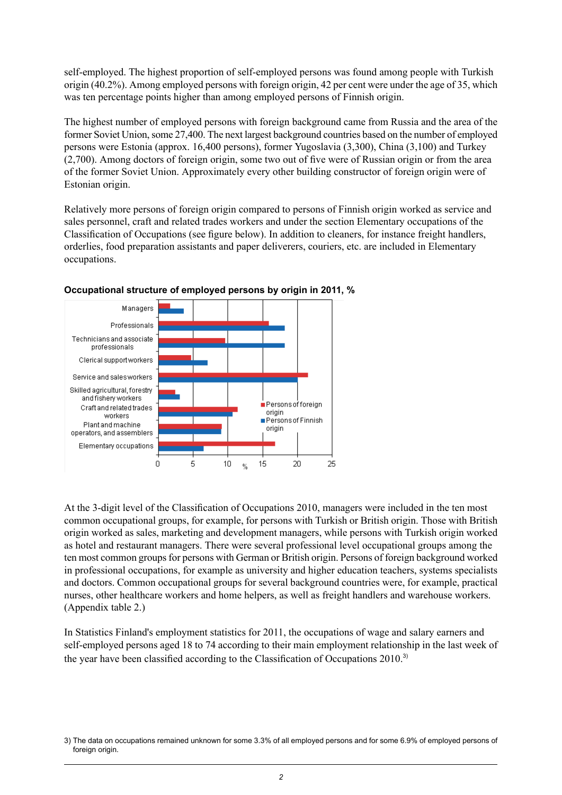self-employed. The highest proportion of self-employed persons was found among people with Turkish origin (40.2%). Among employed persons with foreign origin, 42 per cent were under the age of 35, which was ten percentage points higher than among employed persons of Finnish origin.

The highest number of employed persons with foreign background came from Russia and the area of the former Soviet Union, some 27,400. The next largest background countries based on the number of employed persons were Estonia (approx. 16,400 persons), former Yugoslavia (3,300), China (3,100) and Turkey (2,700). Among doctors of foreign origin, some two out of five were of Russian origin or from the area of the former Soviet Union. Approximately every other building constructor of foreign origin were of Estonian origin.

Relatively more persons of foreign origin compared to persons of Finnish origin worked as service and sales personnel, craft and related trades workers and under the section Elementary occupations of the Classification of Occupations (see figure below). In addition to cleaners, for instance freight handlers, orderlies, food preparation assistants and paper deliverers, couriers, etc. are included in Elementary occupations.



#### **Occupational structure of employed persons by origin in 2011, %**

At the 3-digit level of the Classification of Occupations 2010, managers were included in the ten most common occupational groups, for example, for persons with Turkish or British origin. Those with British origin worked as sales, marketing and development managers, while persons with Turkish origin worked as hotel and restaurant managers. There were several professional level occupational groups among the ten most common groups for persons with German or British origin. Persons of foreign background worked in professional occupations, for example as university and higher education teachers, systems specialists and doctors. Common occupational groups for several background countries were, for example, practical nurses, other healthcare workers and home helpers, as well as freight handlers and warehouse workers. (Appendix table 2.)

In Statistics Finland's employment statistics for 2011, the occupations of wage and salary earners and self-employed persons aged 18 to 74 according to their main employment relationship in the last week of the year have been classified according to the Classification of Occupations 2010.<sup>3)</sup>

The data on occupations remained unknown for some 3.3% of all employed persons and for some 6.9% of employed persons of 3) foreign origin.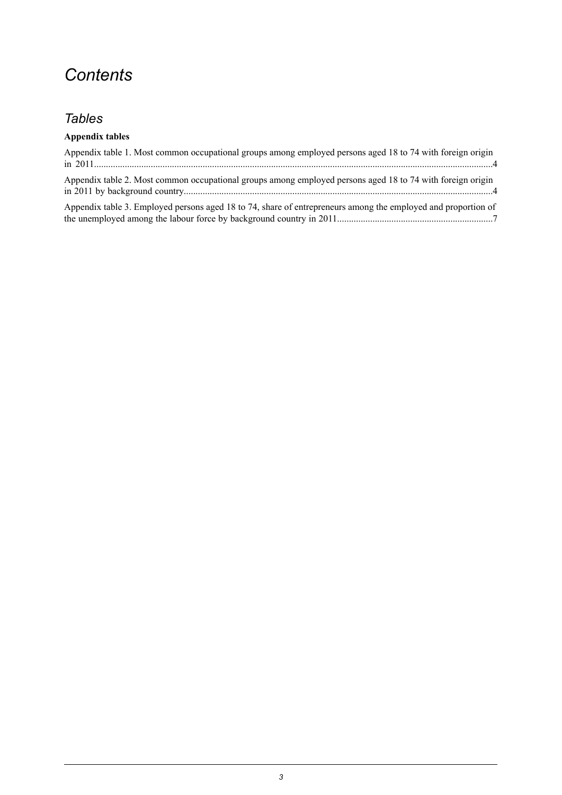### *Contents*

### *Tables*

### **Appendix tables**

| Appendix table 1. Most common occupational groups among employed persons aged 18 to 74 with foreign origin    |
|---------------------------------------------------------------------------------------------------------------|
| Appendix table 2. Most common occupational groups among employed persons aged 18 to 74 with foreign origin    |
| Appendix table 3. Employed persons aged 18 to 74, share of entrepreneurs among the employed and proportion of |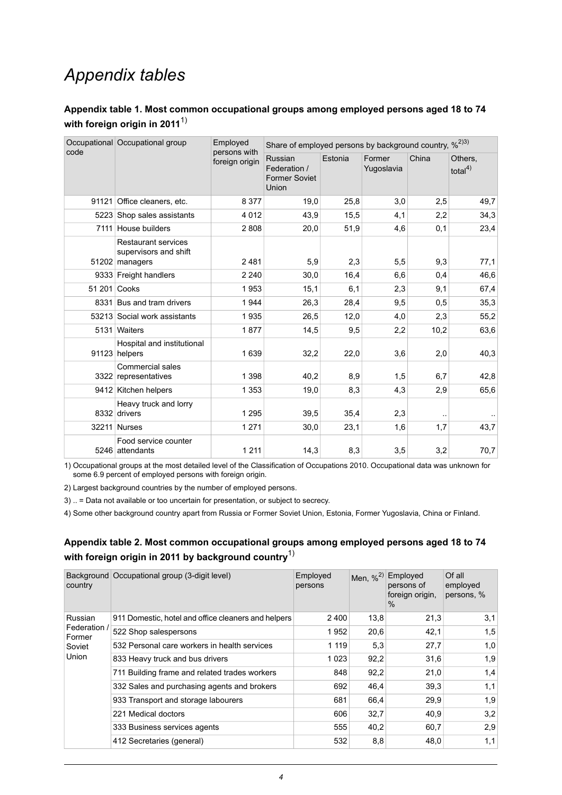### *Appendix tables*

### <span id="page-3-0"></span>**Appendix table 1. Most common occupational groups among employed persons aged 18 to 74 with foreign origin in 2011** 1)

| code         | Occupational Occupational group                                       | Employed<br>persons with | Share of employed persons by background country, % <sup>2)3)</sup> |         |                      |       |                        |  |
|--------------|-----------------------------------------------------------------------|--------------------------|--------------------------------------------------------------------|---------|----------------------|-------|------------------------|--|
|              |                                                                       | foreign origin           | Russian<br>Federation /<br><b>Former Soviet</b><br>Union           | Estonia | Former<br>Yugoslavia | China | Others.<br>total $4$ ) |  |
| 91121        | Office cleaners, etc.                                                 | 8 3 7 7                  | 19,0                                                               | 25,8    | 3,0                  | 2,5   | 49,7                   |  |
|              | 5223 Shop sales assistants                                            | 4 0 1 2                  | 43,9                                                               | 15,5    | 4,1                  | 2,2   | 34,3                   |  |
|              | 7111 House builders                                                   | 2808                     | 20,0                                                               | 51,9    | 4,6                  | 0,1   | 23,4                   |  |
|              | <b>Restaurant services</b><br>supervisors and shift<br>51202 managers | 2481                     | 5,9                                                                | 2,3     | 5,5                  | 9,3   | 77,1                   |  |
|              | 9333 Freight handlers                                                 | 2 2 4 0                  | 30,0                                                               | 16,4    | 6,6                  | 0,4   | 46,6                   |  |
| 51 201 Cooks |                                                                       | 1953                     | 15,1                                                               | 6,1     | 2,3                  | 9,1   | 67,4                   |  |
|              | 8331 Bus and tram drivers                                             | 1944                     | 26,3                                                               | 28,4    | 9,5                  | 0,5   | 35,3                   |  |
|              | 53213 Social work assistants                                          | 1935                     | 26,5                                                               | 12,0    | 4,0                  | 2,3   | 55,2                   |  |
|              | 5131 Waiters                                                          | 1877                     | 14,5                                                               | 9,5     | 2,2                  | 10,2  | 63,6                   |  |
|              | Hospital and institutional<br>91123 helpers                           | 1 6 3 9                  | 32,2                                                               | 22,0    | 3,6                  | 2,0   | 40,3                   |  |
|              | <b>Commercial sales</b><br>3322 representatives                       | 1 3 9 8                  | 40,2                                                               | 8,9     | 1,5                  | 6,7   | 42,8                   |  |
|              | 9412 Kitchen helpers                                                  | 1 3 5 3                  | 19,0                                                               | 8,3     | 4,3                  | 2,9   | 65,6                   |  |
|              | Heavy truck and lorry<br>8332 drivers                                 | 1 2 9 5                  | 39,5                                                               | 35,4    | 2,3                  |       |                        |  |
|              | 32211 Nurses                                                          | 1 2 7 1                  | 30,0                                                               | 23,1    | 1,6                  | 1,7   | 43,7                   |  |
|              | Food service counter<br>5246 attendants                               | 1 2 1 1                  | 14,3                                                               | 8,3     | 3,5                  | 3,2   | 70,7                   |  |

1) Occupational groups at the most detailed level of the Classification of Occupations 2010. Occupational data was unknown for some 6.9 percent of employed persons with foreign origin.

<span id="page-3-1"></span>2) Largest background countries by the number of employed persons.

3) .. = Data not available or too uncertain for presentation, or subject to secrecy.

4) Some other background country apart from Russia or Former Soviet Union, Estonia, Former Yugoslavia, China or Finland.

### **Appendix table 2. Most common occupational groups among employed persons aged 18 to 74 with foreign origin in 2011 by background country**1)

| country                | Background Occupational group (3-digit level)       | Employed<br>persons | Men, $\frac{96}{2}$ | Employed<br>persons of<br>foreign origin,<br>$\%$ | Of all<br>employed<br>persons, % |
|------------------------|-----------------------------------------------------|---------------------|---------------------|---------------------------------------------------|----------------------------------|
| Russian                | 911 Domestic, hotel and office cleaners and helpers | 2400                | 13,8                | 21,3                                              | 3,1                              |
| Federation /<br>Former | 522 Shop salespersons                               | 1952                | 20,6                | 42,1                                              | 1,5                              |
| Soviet<br>Union        | 532 Personal care workers in health services        | 1 1 1 9             | 5,3                 | 27,7                                              | 1,0                              |
|                        | 833 Heavy truck and bus drivers                     | 1 0 2 3             | 92,2                | 31,6                                              | 1,9                              |
|                        | 711 Building frame and related trades workers       | 848                 | 92,2                | 21,0                                              | 1,4                              |
|                        | 332 Sales and purchasing agents and brokers         | 692                 | 46,4                | 39.3                                              | 1,1                              |
|                        | 933 Transport and storage labourers                 | 681                 | 66,4                | 29,9                                              | 1,9                              |
|                        | 221 Medical doctors                                 | 606                 | 32,7                | 40,9                                              | 3,2                              |
|                        | 333 Business services agents                        | 555                 | 40,2                | 60,7                                              | 2,9                              |
|                        | 412 Secretaries (general)                           | 532                 | 8,8                 | 48,0                                              | 1,1                              |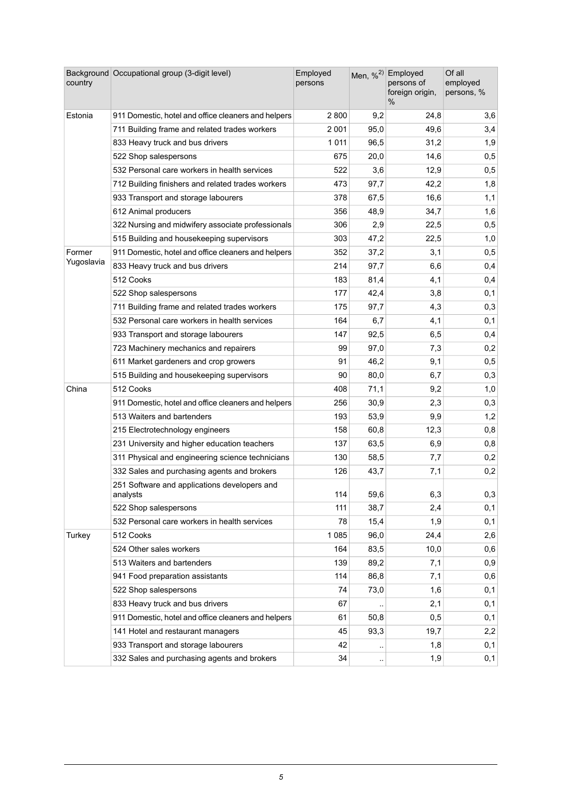| country    | Background Occupational group (3-digit level)            | Employed<br>persons |                        | Men, % <sup>2)</sup> Employed<br>persons of<br>foreign origin,<br>% | Of all<br>employed<br>persons, % |
|------------|----------------------------------------------------------|---------------------|------------------------|---------------------------------------------------------------------|----------------------------------|
| Estonia    | 911 Domestic, hotel and office cleaners and helpers      | 2 800               | 9,2                    | 24,8                                                                | 3,6                              |
|            | 711 Building frame and related trades workers            | 2 0 0 1             | 95,0                   | 49,6                                                                | 3,4                              |
|            | 833 Heavy truck and bus drivers                          | 1 0 1 1             | 96,5                   | 31,2                                                                | 1,9                              |
|            | 522 Shop salespersons                                    | 675                 | 20,0                   | 14,6                                                                | 0,5                              |
|            | 532 Personal care workers in health services             | 522                 | 3,6                    | 12,9                                                                | 0,5                              |
|            | 712 Building finishers and related trades workers        | 473                 | 97,7                   | 42,2                                                                | 1,8                              |
|            | 933 Transport and storage labourers                      | 378                 | 67,5                   | 16,6                                                                | 1,1                              |
|            | 612 Animal producers                                     | 356                 | 48,9                   | 34,7                                                                | 1,6                              |
|            | 322 Nursing and midwifery associate professionals        | 306                 | 2,9                    | 22,5                                                                | 0,5                              |
|            | 515 Building and housekeeping supervisors                | 303                 | 47,2                   | 22,5                                                                | 1,0                              |
| Former     | 911 Domestic, hotel and office cleaners and helpers      | 352                 | 37,2                   | 3,1                                                                 | 0,5                              |
| Yugoslavia | 833 Heavy truck and bus drivers                          | 214                 | 97,7                   | 6,6                                                                 | 0,4                              |
|            | 512 Cooks                                                | 183                 | 81,4                   | 4,1                                                                 | 0,4                              |
|            | 522 Shop salespersons                                    | 177                 | 42,4                   | 3,8                                                                 | 0,1                              |
|            | 711 Building frame and related trades workers            | 175                 | 97,7                   | 4,3                                                                 | 0,3                              |
|            | 532 Personal care workers in health services             | 164                 | 6,7                    | 4,1                                                                 | 0,1                              |
|            | 933 Transport and storage labourers                      | 147                 | 92,5                   | 6,5                                                                 | 0,4                              |
|            | 723 Machinery mechanics and repairers                    | 99                  | 97,0                   | 7,3                                                                 | 0,2                              |
|            | 611 Market gardeners and crop growers                    | 91                  | 46,2                   | 9,1                                                                 | 0,5                              |
|            | 515 Building and housekeeping supervisors                | 90                  | 80,0                   | 6,7                                                                 | 0,3                              |
| China      | 512 Cooks                                                | 408                 | 71,1                   | 9,2                                                                 | 1,0                              |
|            | 911 Domestic, hotel and office cleaners and helpers      | 256                 | 30,9                   | 2,3                                                                 | 0,3                              |
|            | 513 Waiters and bartenders                               | 193                 | 53,9                   | 9,9                                                                 | 1,2                              |
|            | 215 Electrotechnology engineers                          | 158                 | 60,8                   | 12,3                                                                | 0,8                              |
|            | 231 University and higher education teachers             | 137                 | 63,5                   | 6,9                                                                 | 0,8                              |
|            | 311 Physical and engineering science technicians         | 130                 | 58,5                   | 7,7                                                                 | 0,2                              |
|            | 332 Sales and purchasing agents and brokers              | 126                 | 43,7                   | 7,1                                                                 | 0,2                              |
|            | 251 Software and applications developers and<br>analysts | 114                 | 59,6                   | 6,3                                                                 | 0,3                              |
|            | 522 Shop salespersons                                    | 111                 | 38,7                   | 2,4                                                                 | 0,1                              |
|            | 532 Personal care workers in health services             | 78                  | 15,4                   | 1,9                                                                 | 0,1                              |
| Turkey     | 512 Cooks                                                | 1 0 8 5             | 96,0                   | 24,4                                                                | 2,6                              |
|            | 524 Other sales workers                                  | 164                 | 83,5                   | 10,0                                                                | 0,6                              |
|            | 513 Waiters and bartenders                               | 139                 | 89,2                   | 7,1                                                                 | 0,9                              |
|            | 941 Food preparation assistants                          | 114                 | 86,8                   | 7,1                                                                 | 0,6                              |
|            | 522 Shop salespersons                                    | 74                  | 73,0                   | 1,6                                                                 | 0,1                              |
|            | 833 Heavy truck and bus drivers                          | 67                  |                        | 2,1                                                                 | 0,1                              |
|            | 911 Domestic, hotel and office cleaners and helpers      | 61                  | 50,8                   | 0,5                                                                 | 0,1                              |
|            | 141 Hotel and restaurant managers                        | 45                  | 93,3                   | 19,7                                                                | 2,2                              |
|            | 933 Transport and storage labourers                      | 42                  | $\ddot{\phantom{0}}$   | 1,8                                                                 | 0,1                              |
|            | 332 Sales and purchasing agents and brokers              | 34                  | $\ddot{\phantom{1}}$ . | 1,9                                                                 | 0,1                              |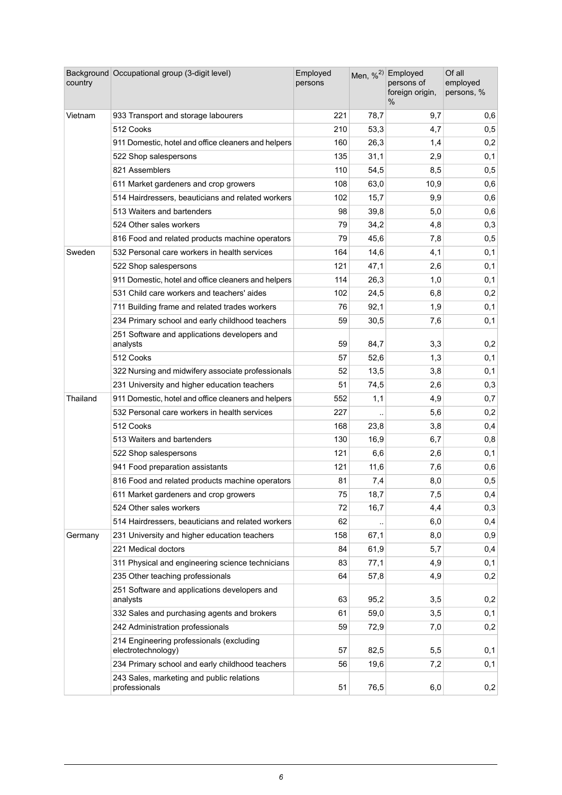| country  | Background Occupational group (3-digit level)                  | Employed<br>persons |      | Men, % <sup>2)</sup> Employed<br>persons of<br>foreign origin,<br>% | Of all<br>employed<br>persons, % |
|----------|----------------------------------------------------------------|---------------------|------|---------------------------------------------------------------------|----------------------------------|
| Vietnam  | 933 Transport and storage labourers                            | 221                 | 78,7 | 9,7                                                                 | 0,6                              |
|          | 512 Cooks                                                      | 210                 | 53,3 | 4,7                                                                 | 0,5                              |
|          | 911 Domestic, hotel and office cleaners and helpers            | 160                 | 26,3 | 1,4                                                                 | 0,2                              |
|          | 522 Shop salespersons                                          | 135                 | 31,1 | 2,9                                                                 | 0,1                              |
|          | 821 Assemblers                                                 | 110                 | 54,5 | 8,5                                                                 | 0,5                              |
|          | 611 Market gardeners and crop growers                          | 108                 | 63,0 | 10,9                                                                | 0,6                              |
|          | 514 Hairdressers, beauticians and related workers              | 102                 | 15,7 | 9,9                                                                 | 0,6                              |
|          | 513 Waiters and bartenders                                     | 98                  | 39,8 | 5,0                                                                 | 0,6                              |
|          | 524 Other sales workers                                        | 79                  | 34,2 | 4,8                                                                 | 0,3                              |
|          | 816 Food and related products machine operators                | 79                  | 45,6 | 7,8                                                                 | 0,5                              |
| Sweden   | 532 Personal care workers in health services                   | 164                 | 14,6 | 4,1                                                                 | 0,1                              |
|          | 522 Shop salespersons                                          | 121                 | 47,1 | 2,6                                                                 | 0,1                              |
|          | 911 Domestic, hotel and office cleaners and helpers            | 114                 | 26,3 | 1,0                                                                 | 0,1                              |
|          | 531 Child care workers and teachers' aides                     | 102                 | 24,5 | 6,8                                                                 | 0,2                              |
|          | 711 Building frame and related trades workers                  | 76                  | 92,1 | 1,9                                                                 | 0,1                              |
|          | 234 Primary school and early childhood teachers                | 59                  | 30,5 | 7,6                                                                 | 0,1                              |
|          | 251 Software and applications developers and<br>analysts       | 59                  | 84,7 | 3,3                                                                 | 0,2                              |
|          | 512 Cooks                                                      | 57                  | 52,6 | 1,3                                                                 | 0,1                              |
|          | 322 Nursing and midwifery associate professionals              | 52                  | 13,5 | 3,8                                                                 | 0,1                              |
|          | 231 University and higher education teachers                   | 51                  | 74,5 | 2,6                                                                 | 0,3                              |
| Thailand | 911 Domestic, hotel and office cleaners and helpers            | 552                 | 1,1  | 4,9                                                                 | 0,7                              |
|          | 532 Personal care workers in health services                   | 227                 |      | 5,6                                                                 | 0,2                              |
|          | 512 Cooks                                                      | 168                 | 23,8 | 3,8                                                                 | 0,4                              |
|          | 513 Waiters and bartenders                                     | 130                 | 16,9 | 6,7                                                                 | 0,8                              |
|          | 522 Shop salespersons                                          | 121                 | 6,6  | 2,6                                                                 | 0,1                              |
|          | 941 Food preparation assistants                                | 121                 | 11,6 | 7,6                                                                 | 0,6                              |
|          | 816 Food and related products machine operators                | 81                  | 7,4  | 8,0                                                                 | 0,5                              |
|          | 611 Market gardeners and crop growers                          | 75                  | 18,7 | 7,5                                                                 | 0,4                              |
|          | 524 Other sales workers                                        | 72                  | 16,7 | 4,4                                                                 | 0,3                              |
|          | 514 Hairdressers, beauticians and related workers              | 62                  |      | 6,0                                                                 | 0,4                              |
| Germany  | 231 University and higher education teachers                   | 158                 | 67,1 | 8,0                                                                 | 0,9                              |
|          | 221 Medical doctors                                            | 84                  | 61,9 | 5,7                                                                 | 0,4                              |
|          | 311 Physical and engineering science technicians               | 83                  | 77,1 | 4,9                                                                 | 0,1                              |
|          | 235 Other teaching professionals                               | 64                  | 57,8 | 4,9                                                                 | 0,2                              |
|          | 251 Software and applications developers and<br>analysts       | 63                  | 95,2 | 3,5                                                                 | 0,2                              |
|          | 332 Sales and purchasing agents and brokers                    | 61                  | 59,0 | 3,5                                                                 | 0,1                              |
|          | 242 Administration professionals                               | 59                  | 72,9 | 7,0                                                                 | 0,2                              |
|          | 214 Engineering professionals (excluding<br>electrotechnology) | 57                  | 82,5 | 5,5                                                                 | 0,1                              |
|          | 234 Primary school and early childhood teachers                | 56                  | 19,6 | 7,2                                                                 | 0,1                              |
|          | 243 Sales, marketing and public relations<br>professionals     | 51                  | 76,5 | 6,0                                                                 | 0,2                              |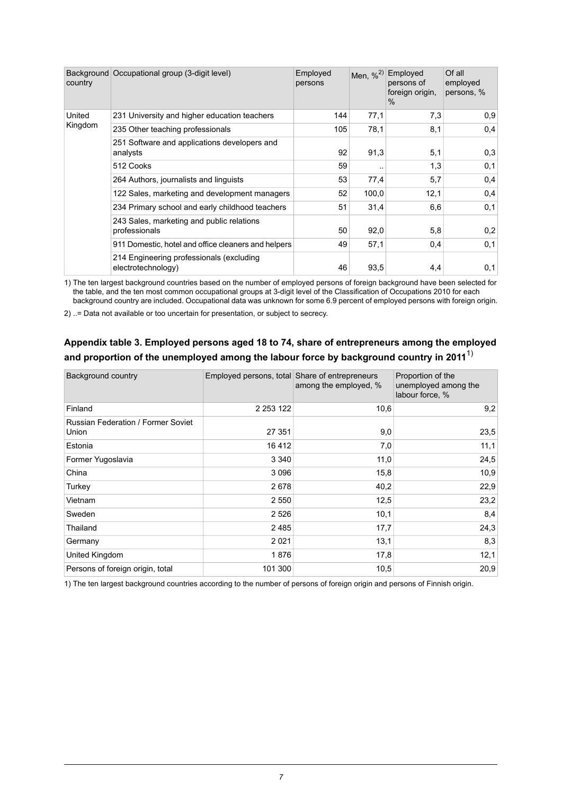| country | Background Occupational group (3-digit level)                  | Employed<br>persons | Men, $\%^{2)}$ | Employed<br>persons of<br>foreign origin,<br>$\%$ | Of all<br>employed<br>persons, % |
|---------|----------------------------------------------------------------|---------------------|----------------|---------------------------------------------------|----------------------------------|
| United  | 231 University and higher education teachers                   | 144                 | 77.1           | 7,3                                               | 0.9                              |
| Kingdom | 235 Other teaching professionals                               | 105                 | 78,1           | 8,1                                               | 0,4                              |
|         | 251 Software and applications developers and<br>analysts       | 92                  | 91,3           | 5,1                                               | 0,3                              |
|         | 512 Cooks                                                      | 59                  | $\cdot$ .      | 1,3                                               | 0,1                              |
|         | 264 Authors, journalists and linguists                         | 53                  | 77,4           | 5,7                                               | 0,4                              |
|         | 122 Sales, marketing and development managers                  | 52                  | 100,0          | 12,1                                              | 0,4                              |
|         | 234 Primary school and early childhood teachers                | 51                  | 31,4           | 6,6                                               | 0,1                              |
|         | 243 Sales, marketing and public relations<br>professionals     | 50                  | 92,0           | 5,8                                               | 0,2                              |
|         | 911 Domestic, hotel and office cleaners and helpers            | 49                  | 57,1           | 0,4                                               | 0,1                              |
|         | 214 Engineering professionals (excluding<br>electrotechnology) | 46                  | 93,5           | 4,4                                               | 0,1                              |

1) The ten largest background countries based on the number of employed persons of foreign background have been selected for the table, and the ten most common occupational groups at 3-digit level of the Classification of Occupations 2010 for each background country are included. Occupational data was unknown for some 6.9 percent of employed persons with foreign origin.

<span id="page-6-0"></span>2) ..= Data not available or too uncertain for presentation, or subject to secrecy.

| and proportion of the unemployed among the labour force by background country in 2011 $^\prime$ |                                                |                       |                                                              |  |  |  |  |
|-------------------------------------------------------------------------------------------------|------------------------------------------------|-----------------------|--------------------------------------------------------------|--|--|--|--|
| <b>Background country</b>                                                                       | Employed persons, total Share of entrepreneurs | among the employed, % | Proportion of the<br>unemployed among the<br>labour force, % |  |  |  |  |
| Finland                                                                                         | 2 2 5 3 1 2 2                                  | 10,6                  | 9,2                                                          |  |  |  |  |
| <b>Russian Federation / Former Soviet</b><br>Union                                              | 27 351                                         | 9,0                   | 23,5                                                         |  |  |  |  |
| Estonia                                                                                         | 16412                                          | 7,0                   | 11,1                                                         |  |  |  |  |
| Former Yugoslavia                                                                               | 3 3 4 0                                        | 11,0                  | 24,5                                                         |  |  |  |  |
| China                                                                                           | 3 0 9 6                                        | 15,8                  | 10,9                                                         |  |  |  |  |
| Turkey                                                                                          | 2678                                           | 40,2                  | 22,9                                                         |  |  |  |  |
| Vietnam                                                                                         | 2 5 5 0                                        | 12,5                  | 23,2                                                         |  |  |  |  |
| Sweden                                                                                          | 2 5 2 6                                        | 10,1                  | 8,4                                                          |  |  |  |  |
| Thailand                                                                                        | 2485                                           | 17,7                  | 24,3                                                         |  |  |  |  |
| Germany                                                                                         | 2 0 2 1                                        | 13,1                  | 8,3                                                          |  |  |  |  |
| United Kingdom                                                                                  | 1876                                           | 17,8                  | 12,1                                                         |  |  |  |  |

### **Appendix table 3. Employed persons aged 18 to 74, share of entrepreneurs among the employed and proportion of the unemployed among the labour force by background country in 2011** 1)

1) The ten largest background countries according to the number of persons of foreign origin and persons of Finnish origin.

Persons of foreign origin, total 101 300 105 10,5 20,9